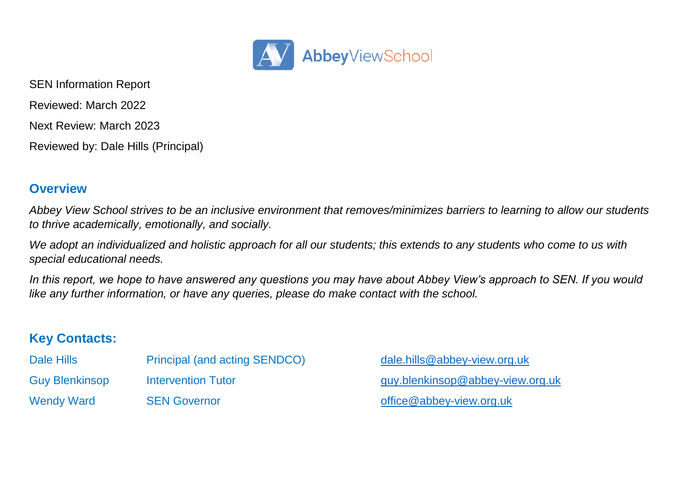

SEN Information Report Reviewed: March 2022 Next Review: March 2023 Reviewed by: Dale Hills (Principal)

# **Overview**

*Abbey View School strives to be an inclusive environment that removes/minimizes barriers to learning to allow our students to thrive academically, emotionally, and socially.* 

*We adopt an individualized and holistic approach for all our students; this extends to any students who come to us with special educational needs.*

*In this report, we hope to have answered any questions you may have about Abbey View's approach to SEN. If you would like any further information, or have any queries, please do make contact with the school.*

# **Key Contacts:**

| Dale Hills        | <b>Principal (and acting SENDCO)</b> |
|-------------------|--------------------------------------|
| Guy Blenkinsop    | Intervention Tutor                   |
| <b>Wendy Ward</b> | <b>SEN Governor</b>                  |

[dale.hills@abbey-view.org.uk](mailto:dale.hills@abbey-view.org.uk) [guy.blenkinsop@abbey-view.org.uk](mailto:guy.blenkinsop@abbey-view.org.uk)  $office@ab$  bey-view.org.uk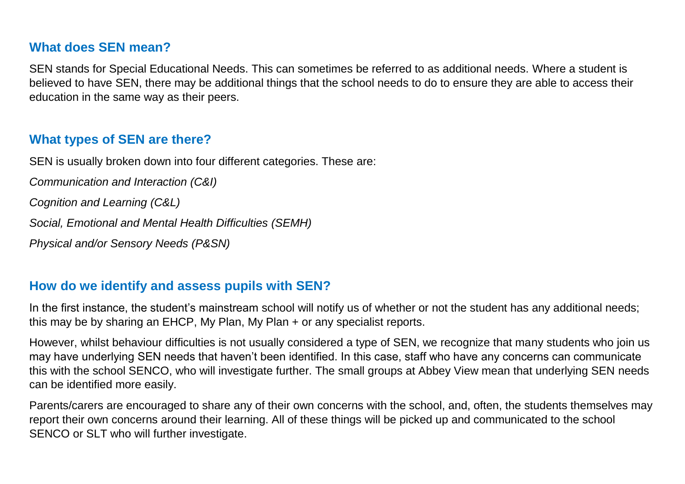#### **What does SEN mean?**

SEN stands for Special Educational Needs. This can sometimes be referred to as additional needs. Where a student is believed to have SEN, there may be additional things that the school needs to do to ensure they are able to access their education in the same way as their peers.

## **What types of SEN are there?**

SEN is usually broken down into four different categories. These are:

*Communication and Interaction (C&I)*

*Cognition and Learning (C&L)*

*Social, Emotional and Mental Health Difficulties (SEMH)*

*Physical and/or Sensory Needs (P&SN)*

#### **How do we identify and assess pupils with SEN?**

In the first instance, the student's mainstream school will notify us of whether or not the student has any additional needs; this may be by sharing an EHCP, My Plan, My Plan + or any specialist reports.

However, whilst behaviour difficulties is not usually considered a type of SEN, we recognize that many students who join us may have underlying SEN needs that haven't been identified. In this case, staff who have any concerns can communicate this with the school SENCO, who will investigate further. The small groups at Abbey View mean that underlying SEN needs can be identified more easily.

Parents/carers are encouraged to share any of their own concerns with the school, and, often, the students themselves may report their own concerns around their learning. All of these things will be picked up and communicated to the school SENCO or SLT who will further investigate.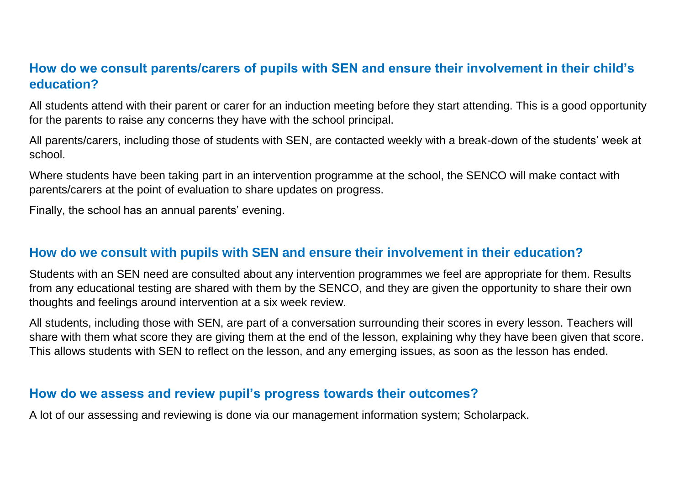# **How do we consult parents/carers of pupils with SEN and ensure their involvement in their child's education?**

All students attend with their parent or carer for an induction meeting before they start attending. This is a good opportunity for the parents to raise any concerns they have with the school principal.

All parents/carers, including those of students with SEN, are contacted weekly with a break-down of the students' week at school.

Where students have been taking part in an intervention programme at the school, the SENCO will make contact with parents/carers at the point of evaluation to share updates on progress.

Finally, the school has an annual parents' evening.

## **How do we consult with pupils with SEN and ensure their involvement in their education?**

Students with an SEN need are consulted about any intervention programmes we feel are appropriate for them. Results from any educational testing are shared with them by the SENCO, and they are given the opportunity to share their own thoughts and feelings around intervention at a six week review.

All students, including those with SEN, are part of a conversation surrounding their scores in every lesson. Teachers will share with them what score they are giving them at the end of the lesson, explaining why they have been given that score. This allows students with SEN to reflect on the lesson, and any emerging issues, as soon as the lesson has ended.

### **How do we assess and review pupil's progress towards their outcomes?**

A lot of our assessing and reviewing is done via our management information system; Scholarpack.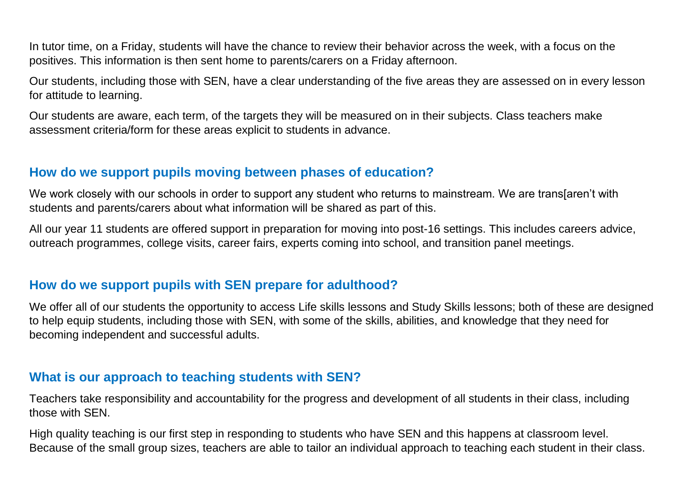In tutor time, on a Friday, students will have the chance to review their behavior across the week, with a focus on the positives. This information is then sent home to parents/carers on a Friday afternoon.

Our students, including those with SEN, have a clear understanding of the five areas they are assessed on in every lesson for attitude to learning.

Our students are aware, each term, of the targets they will be measured on in their subjects. Class teachers make assessment criteria/form for these areas explicit to students in advance.

# **How do we support pupils moving between phases of education?**

We work closely with our schools in order to support any student who returns to mainstream. We are trans[aren't with students and parents/carers about what information will be shared as part of this.

All our year 11 students are offered support in preparation for moving into post-16 settings. This includes careers advice, outreach programmes, college visits, career fairs, experts coming into school, and transition panel meetings.

### **How do we support pupils with SEN prepare for adulthood?**

We offer all of our students the opportunity to access Life skills lessons and Study Skills lessons; both of these are designed to help equip students, including those with SEN, with some of the skills, abilities, and knowledge that they need for becoming independent and successful adults.

### **What is our approach to teaching students with SEN?**

Teachers take responsibility and accountability for the progress and development of all students in their class, including those with SEN.

High quality teaching is our first step in responding to students who have SEN and this happens at classroom level. Because of the small group sizes, teachers are able to tailor an individual approach to teaching each student in their class.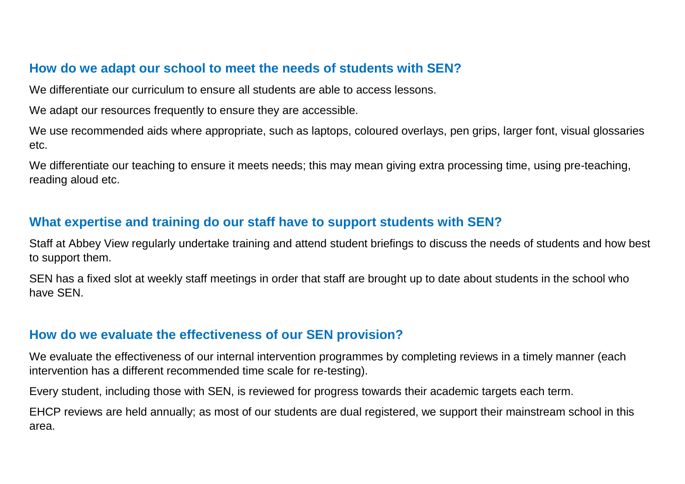# **How do we adapt our school to meet the needs of students with SEN?**

We differentiate our curriculum to ensure all students are able to access lessons.

We adapt our resources frequently to ensure they are accessible.

We use recommended aids where appropriate, such as laptops, coloured overlays, pen grips, larger font, visual glossaries etc.

We differentiate our teaching to ensure it meets needs; this may mean giving extra processing time, using pre-teaching, reading aloud etc.

## **What expertise and training do our staff have to support students with SEN?**

Staff at Abbey View regularly undertake training and attend student briefings to discuss the needs of students and how best to support them.

SEN has a fixed slot at weekly staff meetings in order that staff are brought up to date about students in the school who have SEN.

### **How do we evaluate the effectiveness of our SEN provision?**

We evaluate the effectiveness of our internal intervention programmes by completing reviews in a timely manner (each intervention has a different recommended time scale for re-testing).

Every student, including those with SEN, is reviewed for progress towards their academic targets each term.

EHCP reviews are held annually; as most of our students are dual registered, we support their mainstream school in this area.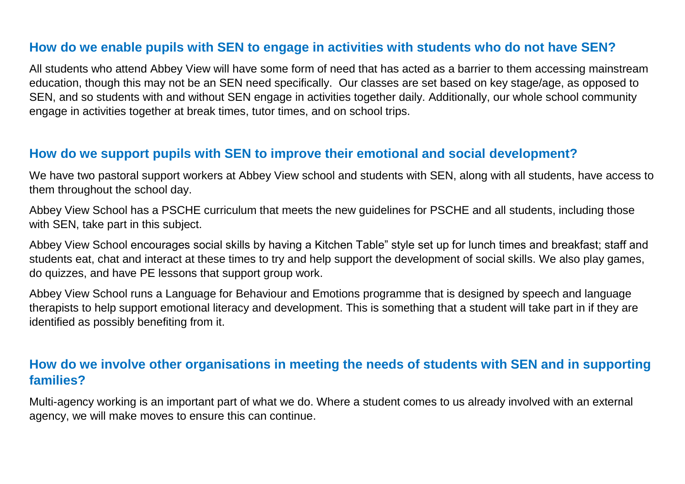## **How do we enable pupils with SEN to engage in activities with students who do not have SEN?**

All students who attend Abbey View will have some form of need that has acted as a barrier to them accessing mainstream education, though this may not be an SEN need specifically. Our classes are set based on key stage/age, as opposed to SEN, and so students with and without SEN engage in activities together daily. Additionally, our whole school community engage in activities together at break times, tutor times, and on school trips.

### **How do we support pupils with SEN to improve their emotional and social development?**

We have two pastoral support workers at Abbey View school and students with SEN, along with all students, have access to them throughout the school day.

Abbey View School has a PSCHE curriculum that meets the new guidelines for PSCHE and all students, including those with SEN, take part in this subject.

Abbey View School encourages social skills by having a Kitchen Table" style set up for lunch times and breakfast; staff and students eat, chat and interact at these times to try and help support the development of social skills. We also play games, do quizzes, and have PE lessons that support group work.

Abbey View School runs a Language for Behaviour and Emotions programme that is designed by speech and language therapists to help support emotional literacy and development. This is something that a student will take part in if they are identified as possibly benefiting from it.

# **How do we involve other organisations in meeting the needs of students with SEN and in supporting families?**

Multi-agency working is an important part of what we do. Where a student comes to us already involved with an external agency, we will make moves to ensure this can continue.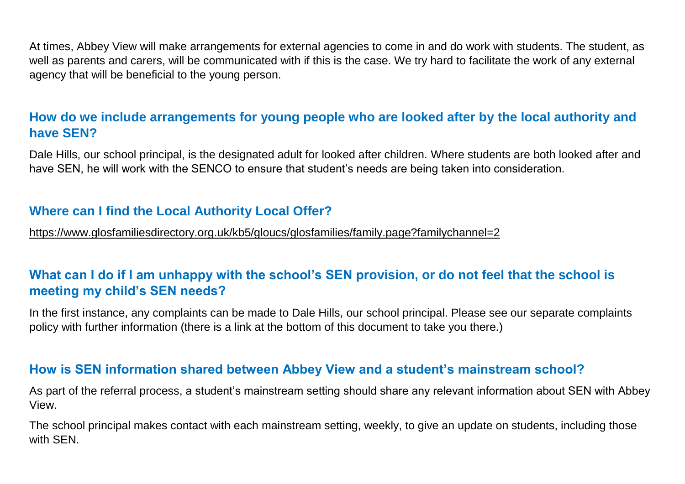At times, Abbey View will make arrangements for external agencies to come in and do work with students. The student, as well as parents and carers, will be communicated with if this is the case. We try hard to facilitate the work of any external agency that will be beneficial to the young person.

# **How do we include arrangements for young people who are looked after by the local authority and have SEN?**

Dale Hills, our school principal, is the designated adult for looked after children. Where students are both looked after and have SEN, he will work with the SENCO to ensure that student's needs are being taken into consideration.

# **Where can I find the Local Authority Local Offer?**

<https://www.glosfamiliesdirectory.org.uk/kb5/gloucs/glosfamilies/family.page?familychannel=2>

# **What can I do if I am unhappy with the school's SEN provision, or do not feel that the school is meeting my child's SEN needs?**

In the first instance, any complaints can be made to Dale Hills, our school principal. Please see our separate complaints policy with further information (there is a link at the bottom of this document to take you there.)

### **How is SEN information shared between Abbey View and a student's mainstream school?**

As part of the referral process, a student's mainstream setting should share any relevant information about SEN with Abbey View.

The school principal makes contact with each mainstream setting, weekly, to give an update on students, including those with SEN.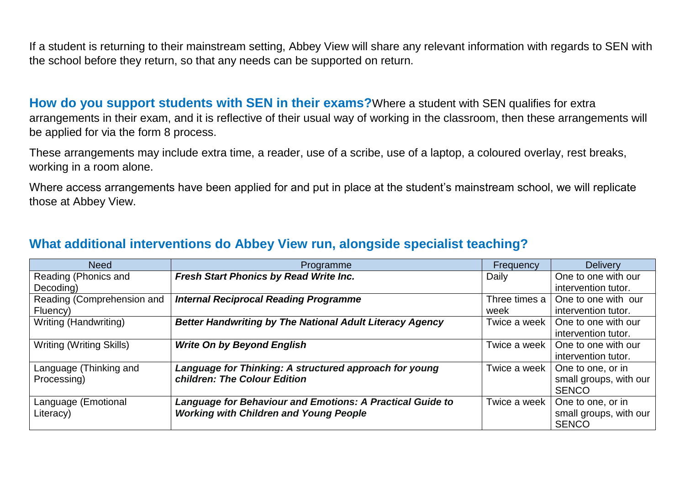If a student is returning to their mainstream setting, Abbey View will share any relevant information with regards to SEN with the school before they return, so that any needs can be supported on return.

**How do you support students with SEN in their exams?**Where a student with SEN qualifies for extra arrangements in their exam, and it is reflective of their usual way of working in the classroom, then these arrangements will be applied for via the form 8 process.

These arrangements may include extra time, a reader, use of a scribe, use of a laptop, a coloured overlay, rest breaks, working in a room alone.

Where access arrangements have been applied for and put in place at the student's mainstream school, we will replicate those at Abbey View.

## **What additional interventions do Abbey View run, alongside specialist teaching?**

| <b>Need</b>                     | Programme                                                        | Frequency     | <b>Delivery</b>        |
|---------------------------------|------------------------------------------------------------------|---------------|------------------------|
| Reading (Phonics and            | Fresh Start Phonics by Read Write Inc.                           | Daily         | One to one with our    |
| Decoding)                       |                                                                  |               | intervention tutor.    |
| Reading (Comprehension and      | <b>Internal Reciprocal Reading Programme</b>                     | Three times a | One to one with our    |
| Fluency)                        |                                                                  | week          | intervention tutor.    |
| Writing (Handwriting)           | <b>Better Handwriting by The National Adult Literacy Agency</b>  | Twice a week  | One to one with our    |
|                                 |                                                                  |               | intervention tutor.    |
| <b>Writing (Writing Skills)</b> | <b>Write On by Beyond English</b>                                | Twice a week  | One to one with our    |
|                                 |                                                                  |               | intervention tutor.    |
| Language (Thinking and          | Language for Thinking: A structured approach for young           | Twice a week  | One to one, or in      |
| Processing)                     | children: The Colour Edition                                     |               | small groups, with our |
|                                 |                                                                  |               | <b>SENCO</b>           |
| Language (Emotional             | <b>Language for Behaviour and Emotions: A Practical Guide to</b> | Twice a week  | One to one, or in      |
| Literacy)                       | <b>Working with Children and Young People</b>                    |               | small groups, with our |
|                                 |                                                                  |               | <b>SENCO</b>           |